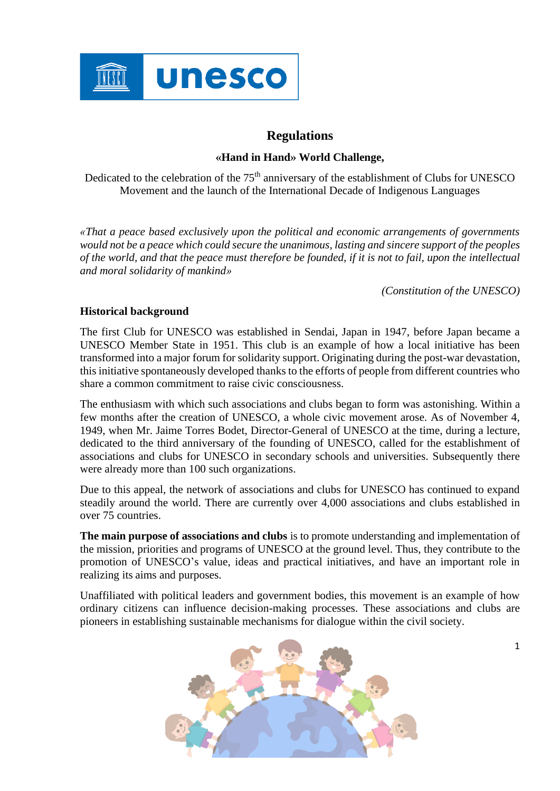

# **Regulations**

## **«Hand in Hand» World Challenge,**

Dedicated to the celebration of the 75th anniversary of the establishment of Clubs for UNESCO Movement and the launch of the International Decade of Indigenous Languages

*«That a peace based exclusively upon the political and economic arrangements of governments would not be a peace which could secure the unanimous, lasting and sincere support of the peoples of the world, and that the peace must therefore be founded, if it is not to fail, upon the intellectual and moral solidarity of mankind»* 

*(Constitution of the UNESCO)*

## **Historical background**

The first Club for UNESCO was established in Sendai, Japan in 1947, before Japan became a UNESCO Member State in 1951. This club is an example of how a local initiative has been transformed into a major forum for solidarity support. Originating during the post-war devastation, this initiative spontaneously developed thanks to the efforts of people from different countries who share a common commitment to raise civic consciousness.

The enthusiasm with which such associations and clubs began to form was astonishing. Within a few months after the creation of UNESCO, a whole civic movement arose. As of November 4, 1949, when Mr. Jaime Torres Bodet, Director-General of UNESCO at the time, during a lecture, dedicated to the third anniversary of the founding of UNESCO, called for the establishment of associations and clubs for UNESCO in secondary schools and universities. Subsequently there were already more than 100 such organizations.

Due to this appeal, the network of associations and clubs for UNESCO has continued to expand steadily around the world. There are currently over 4,000 associations and clubs established in over 75 countries.

**The main purpose of associations and clubs** is to promote understanding and implementation of the mission, priorities and programs of UNESCO at the ground level. Thus, they contribute to the promotion of UNESCO's value, ideas and practical initiatives, and have an important role in realizing its aims and purposes.

Unaffiliated with political leaders and government bodies, this movement is an example of how ordinary citizens can influence decision-making processes. These associations and clubs are pioneers in establishing sustainable mechanisms for dialogue within the civil society.

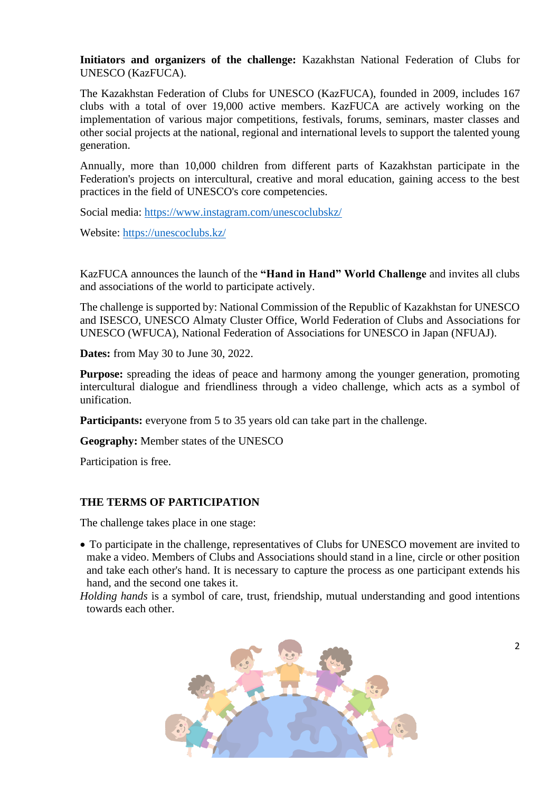**Initiators and organizers of the challenge:** Kazakhstan National Federation of Clubs for UNESCO (KazFUCA).

The Kazakhstan Federation of Clubs for UNESCO (KazFUCA), founded in 2009, includes 167 clubs with a total of over 19,000 active members. KazFUCA are actively working on the implementation of various major competitions, festivals, forums, seminars, master classes and other social projects at the national, regional and international levels to support the talented young generation.

Annually, more than 10,000 children from different parts of Kazakhstan participate in the Federation's projects on intercultural, creative and moral education, gaining access to the best practices in the field of UNESCO's core competencies.

Social media:<https://www.instagram.com/unescoclubskz/>

Website:<https://unescoclubs.kz/>

KazFUCA announces the launch of the **"Hand in Hand" World Challenge** and invites all clubs and associations of the world to participate actively.

The challenge is supported by: National Commission of the Republic of Kazakhstan for UNESCO and ISESCO, UNESCO Almaty Cluster Office, World Federation of Clubs and Associations for UNESCO (WFUCA), National Federation of Associations for UNESCO in Japan (NFUAJ).

**Dates:** from May 30 to June 30, 2022.

**Purpose:** spreading the ideas of peace and harmony among the younger generation, promoting intercultural dialogue and friendliness through a video challenge, which acts as a symbol of unification.

**Participants:** everyone from 5 to 35 years old can take part in the challenge.

**Geography:** Member states of the UNESCO

Participation is free.

#### **THE TERMS OF PARTICIPATION**

The challenge takes place in one stage:

- To participate in the challenge, representatives of Clubs for UNESCO movement are invited to make a video. Members of Clubs and Associations should stand in a line, circle or other position and take each other's hand. It is necessary to capture the process as one participant extends his hand, and the second one takes it.
- *Holding hands* is a symbol of care, trust, friendship, mutual understanding and good intentions towards each other.